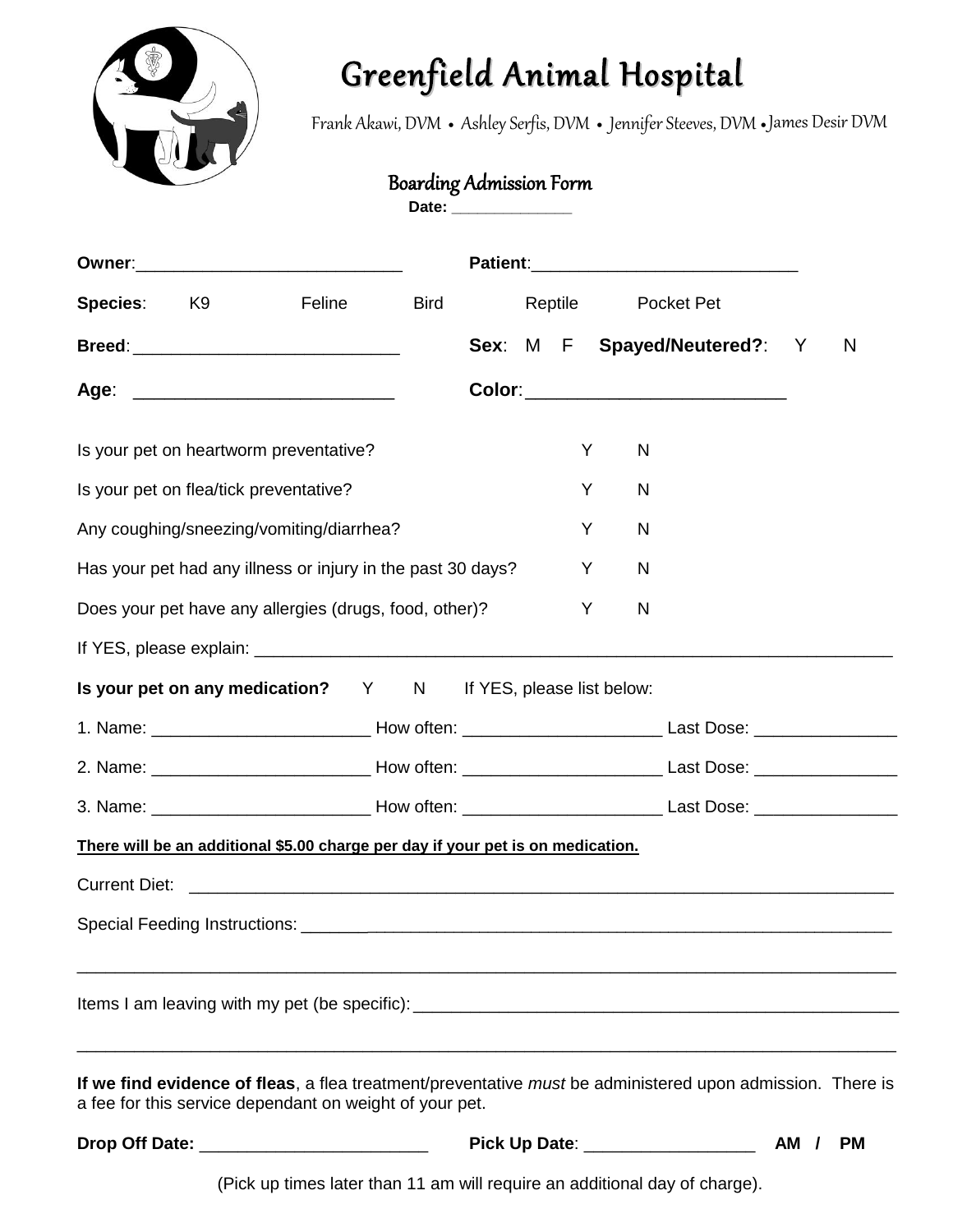

## Greenfield Animal Hospital

Frank Akawi, DVM . Ashley Serfis, DVM . Jennifer Steeves, DVM . James Desir DVM

## Boarding Admission Form

Date:

| <b>Species:</b><br><b>K9</b>                                                                                                                                                |                                        | Feline | <b>Bird</b> |  |  | Reptile | Pocket Pet                           |    |           |
|-----------------------------------------------------------------------------------------------------------------------------------------------------------------------------|----------------------------------------|--------|-------------|--|--|---------|--------------------------------------|----|-----------|
|                                                                                                                                                                             |                                        |        |             |  |  |         | Sex: M F Spayed/Neutered?: Y         |    | N         |
|                                                                                                                                                                             |                                        |        |             |  |  |         | Color:______________________________ |    |           |
|                                                                                                                                                                             | Is your pet on heartworm preventative? |        |             |  |  | Y       | N                                    |    |           |
|                                                                                                                                                                             | Is your pet on flea/tick preventative? |        |             |  |  | Υ       | $\mathsf{N}$                         |    |           |
| Any coughing/sneezing/vomiting/diarrhea?                                                                                                                                    |                                        |        |             |  |  | Y       | N                                    |    |           |
| Has your pet had any illness or injury in the past 30 days?<br>Y<br>N                                                                                                       |                                        |        |             |  |  |         |                                      |    |           |
| Does your pet have any allergies (drugs, food, other)?                                                                                                                      |                                        |        |             |  |  | Y       | $\mathsf{N}$                         |    |           |
|                                                                                                                                                                             |                                        |        |             |  |  |         |                                      |    |           |
| Is your pet on any medication? Y N If YES, please list below:                                                                                                               |                                        |        |             |  |  |         |                                      |    |           |
|                                                                                                                                                                             |                                        |        |             |  |  |         |                                      |    |           |
|                                                                                                                                                                             |                                        |        |             |  |  |         |                                      |    |           |
|                                                                                                                                                                             |                                        |        |             |  |  |         |                                      |    |           |
| There will be an additional \$5.00 charge per day if your pet is on medication.                                                                                             |                                        |        |             |  |  |         |                                      |    |           |
|                                                                                                                                                                             |                                        |        |             |  |  |         |                                      |    |           |
|                                                                                                                                                                             |                                        |        |             |  |  |         |                                      |    |           |
|                                                                                                                                                                             |                                        |        |             |  |  |         |                                      |    |           |
| If we find evidence of fleas, a flea treatment/preventative <i>must</i> be administered upon admission. There is<br>a fee for this service dependant on weight of your pet. |                                        |        |             |  |  |         |                                      |    |           |
|                                                                                                                                                                             |                                        |        |             |  |  |         | Pick Up Date: ___________________    | AM | <b>PM</b> |

(Pick up times later than 11 am will require an additional day of charge).